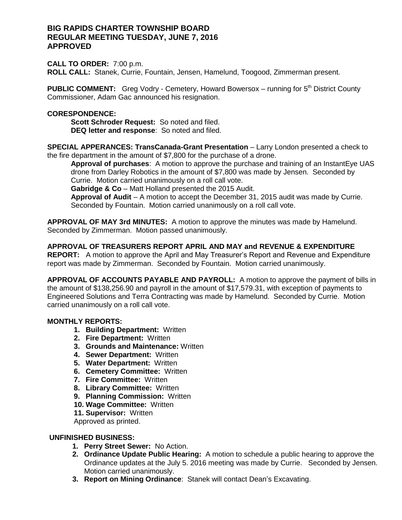## **BIG RAPIDS CHARTER TOWNSHIP BOARD REGULAR MEETING TUESDAY, JUNE 7, 2016 APPROVED**

## **CALL TO ORDER:** 7:00 p.m.

**ROLL CALL:** Stanek, Currie, Fountain, Jensen, Hamelund, Toogood, Zimmerman present.

**PUBLIC COMMENT:** Greg Vodry - Cemetery, Howard Bowersox - running for 5<sup>th</sup> District County Commissioner, Adam Gac announced his resignation.

## **CORESPONDENCE:**

**Scott Schroder Request:** So noted and filed. **DEQ letter and response**: So noted and filed.

**SPECIAL APPERANCES: TransCanada-Grant Presentation** – Larry London presented a check to the fire department in the amount of \$7,800 for the purchase of a drone.

**Approval of purchases**: A motion to approve the purchase and training of an InstantEye UAS drone from Darley Robotics in the amount of \$7,800 was made by Jensen. Seconded by Currie. Motion carried unanimously on a roll call vote.

**Gabridge & Co** – Matt Holland presented the 2015 Audit.

**Approval of Audit** – A motion to accept the December 31, 2015 audit was made by Currie. Seconded by Fountain. Motion carried unanimously on a roll call vote.

**APPROVAL OF MAY 3rd MINUTES:** A motion to approve the minutes was made by Hamelund. Seconded by Zimmerman. Motion passed unanimously.

# **APPROVAL OF TREASURERS REPORT APRIL AND MAY and REVENUE & EXPENDITURE**

**REPORT:** A motion to approve the April and May Treasurer's Report and Revenue and Expenditure report was made by Zimmerman. Seconded by Fountain. Motion carried unanimously.

**APPROVAL OF ACCOUNTS PAYABLE AND PAYROLL:** A motion to approve the payment of bills in the amount of \$138,256.90 and payroll in the amount of \$17,579.31, with exception of payments to Engineered Solutions and Terra Contracting was made by Hamelund. Seconded by Currie. Motion carried unanimously on a roll call vote.

## **MONTHLY REPORTS:**

- **1. Building Department:** Written
- **2. Fire Department:** Written
- **3. Grounds and Maintenance:** Written
- **4. Sewer Department:** Written
- **5. Water Department:** Written
- **6. Cemetery Committee:** Written
- **7. Fire Committee:** Written
- **8. Library Committee:** Written
- **9. Planning Commission:** Written
- **10. Wage Committee:** Written
- **11. Supervisor:** Written

Approved as printed.

## **UNFINISHED BUSINESS:**

- **1. Perry Street Sewer:** No Action.
- **2. Ordinance Update Public Hearing:** A motion to schedule a public hearing to approve the Ordinance updates at the July 5. 2016 meeting was made by Currie. Seconded by Jensen. Motion carried unanimously.
- **3. Report on Mining Ordinance**: Stanek will contact Dean's Excavating.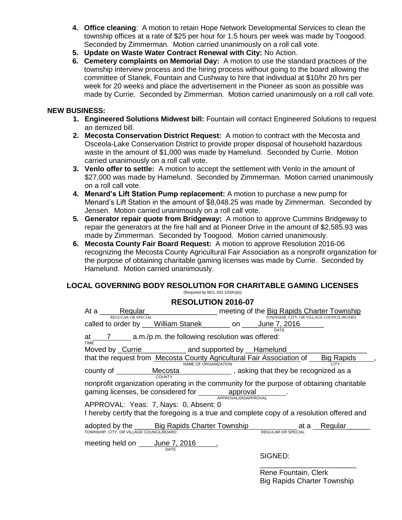- **4. Office cleaning**: A motion to retain Hope Network Developmental Services to clean the township offices at a rate of \$25 per hour for 1.5 hours per week was made by Toogood. Seconded by Zimmerman. Motion carried unanimously on a roll call vote.
- **5. Update on Waste Water Contract Renewal with City:** No Action.
- **6. Cemetery complaints on Memorial Day:** A motion to use the standard practices of the township interview process and the hiring process without going to the board allowing the committee of Stanek, Fountain and Cushway to hire that individual at \$10/hr 20 hrs per week for 20 weeks and place the advertisement in the Pioneer as soon as possible was made by Currie. Seconded by Zimmerman. Motion carried unanimously on a roll call vote.

## **NEW BUSINESS:**

- **1. Engineered Solutions Midwest bill:** Fountain will contact Engineered Solutions to request an itemized bill.
- **2. Mecosta Conservation District Request:** A motion to contract with the Mecosta and Osceola-Lake Conservation District to provide proper disposal of household hazardous waste in the amount of \$1,000 was made by Hamelund. Seconded by Currie. Motion carried unanimously on a roll call vote.
- **3. Venlo offer to settle:** A motion to accept the settlement with Venlo in the amount of \$27,000 was made by Hamelund. Seconded by Zimmerman. Motion carried unanimously on a roll call vote.
- **4. Menard's Lift Station Pump replacement:** A motion to purchase a new pump for Menard's Lift Station in the amount of \$8,048.25 was made by Zimmerman. Seconded by Jensen. Motion carried unanimously on a roll call vote.
- **5. Generator repair quote from Bridgeway:** A motion to approve Cummins Bridgeway to repair the generators at the fire hall and at Pioneer Drive in the amount of \$2,585.93 was made by Zimmerman. Seconded by Toogood. Motion carried unanimously.
- **6. Mecosta County Fair Board Request:** A motion to approve Resolution 2016-06 recognizing the Mecosta County Agricultural Fair Association as a nonprofit organization for the purpose of obtaining charitable gaming licenses was made by Currie. Seconded by Hamelund. Motion carried unanimously.

#### **LOCAL GOVERNING BODY RESOLUTION FOR CHARITABLE GAMING LICENSES** (Required by MCL.432.103(K)(ii))

## **RESOLUTION 2016-07**

| NEJULUTIUN ZUTU'U                                                                                                                                                                  |                                                                                                                 |                                          |  |
|------------------------------------------------------------------------------------------------------------------------------------------------------------------------------------|-----------------------------------------------------------------------------------------------------------------|------------------------------------------|--|
| REGULAR OR SPECIAL                                                                                                                                                                 | At a Regular Regular Regular Regular Research Regular Regular Regular Regular Regular Regular Regular Regular R | TOWNSHIP, CITY, OR VILLAGE COUNCIL/BOARD |  |
|                                                                                                                                                                                    | called to order by William Stanek _______ on _____June 7, 2016                                                  | DATE                                     |  |
| at $\frac{7}{2}$ a.m./p.m. the following resolution was offered:<br><b>TIME</b>                                                                                                    |                                                                                                                 |                                          |  |
|                                                                                                                                                                                    | Moved by Currie _____________ and supported by __Hamelund                                                       |                                          |  |
| that the request from Mecosta County Agricultural Fair Association of Big Rapids<br>NAME OF ORGANIZATION                                                                           |                                                                                                                 |                                          |  |
|                                                                                                                                                                                    | county of ___________ Mecosta _________________, asking that they be recognized as a<br>COUNTY                  |                                          |  |
| nonprofit organization operating in the community for the purpose of obtaining charitable<br>gaming licenses, be considered for <b>example 20</b> approval<br>APPROVAL/DISAPPROVAL |                                                                                                                 |                                          |  |
| APPROVAL: Yeas: 7, Nays: 0, Absent: 0<br>I hereby certify that the foregoing is a true and complete copy of a resolution offered and                                               |                                                                                                                 |                                          |  |
| TOWNSHIP, CITY, OR VILLAGE COUNCIL/BOARD                                                                                                                                           | adopted by the Big Rapids Charter Township at a Regular                                                         | REGULAR OR SPECIAL                       |  |
|                                                                                                                                                                                    | meeting held on _____ June 7, 2016<br>DATE                                                                      |                                          |  |
|                                                                                                                                                                                    |                                                                                                                 | SIGNED:                                  |  |
|                                                                                                                                                                                    |                                                                                                                 |                                          |  |

Rene Fountain, Clerk Big Rapids Charter Township